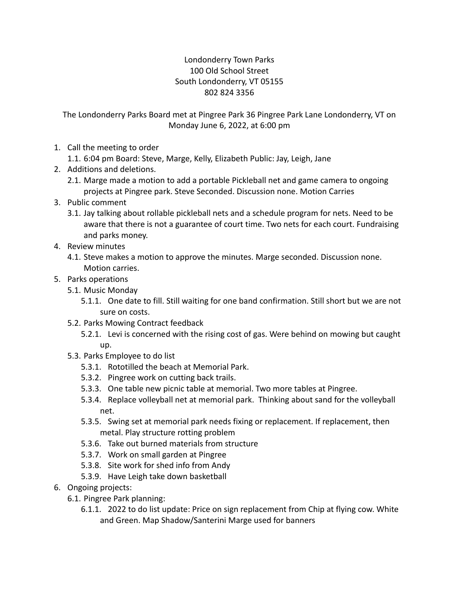## Londonderry Town Parks 100 Old School Street South Londonderry, VT 05155 802 824 3356

The Londonderry Parks Board met at Pingree Park 36 Pingree Park Lane Londonderry, VT on Monday June 6, 2022, at 6:00 pm

1. Call the meeting to order

1.1. 6:04 pm Board: Steve, Marge, Kelly, Elizabeth Public: Jay, Leigh, Jane

- 2. Additions and deletions.
	- 2.1. Marge made a motion to add a portable Pickleball net and game camera to ongoing projects at Pingree park. Steve Seconded. Discussion none. Motion Carries
- 3. Public comment
	- 3.1. Jay talking about rollable pickleball nets and a schedule program for nets. Need to be aware that there is not a guarantee of court time. Two nets for each court. Fundraising and parks money.
- 4. Review minutes
	- 4.1. Steve makes a motion to approve the minutes. Marge seconded. Discussion none. Motion carries.
- 5. Parks operations
	- 5.1. Music Monday
		- 5.1.1. One date to fill. Still waiting for one band confirmation. Still short but we are not sure on costs.
	- 5.2. Parks Mowing Contract feedback
		- 5.2.1. Levi is concerned with the rising cost of gas. Were behind on mowing but caught up.
	- 5.3. Parks Employee to do list
		- 5.3.1. Rototilled the beach at Memorial Park.
		- 5.3.2. Pingree work on cutting back trails.
		- 5.3.3. One table new picnic table at memorial. Two more tables at Pingree.
		- 5.3.4. Replace volleyball net at memorial park. Thinking about sand for the volleyball net.
		- 5.3.5. Swing set at memorial park needs fixing or replacement. If replacement, then metal. Play structure rotting problem
		- 5.3.6. Take out burned materials from structure
		- 5.3.7. Work on small garden at Pingree
		- 5.3.8. Site work for shed info from Andy
		- 5.3.9. Have Leigh take down basketball
- 6. Ongoing projects:
	- 6.1. Pingree Park planning:
		- 6.1.1. 2022 to do list update: Price on sign replacement from Chip at flying cow. White and Green. Map Shadow/Santerini Marge used for banners